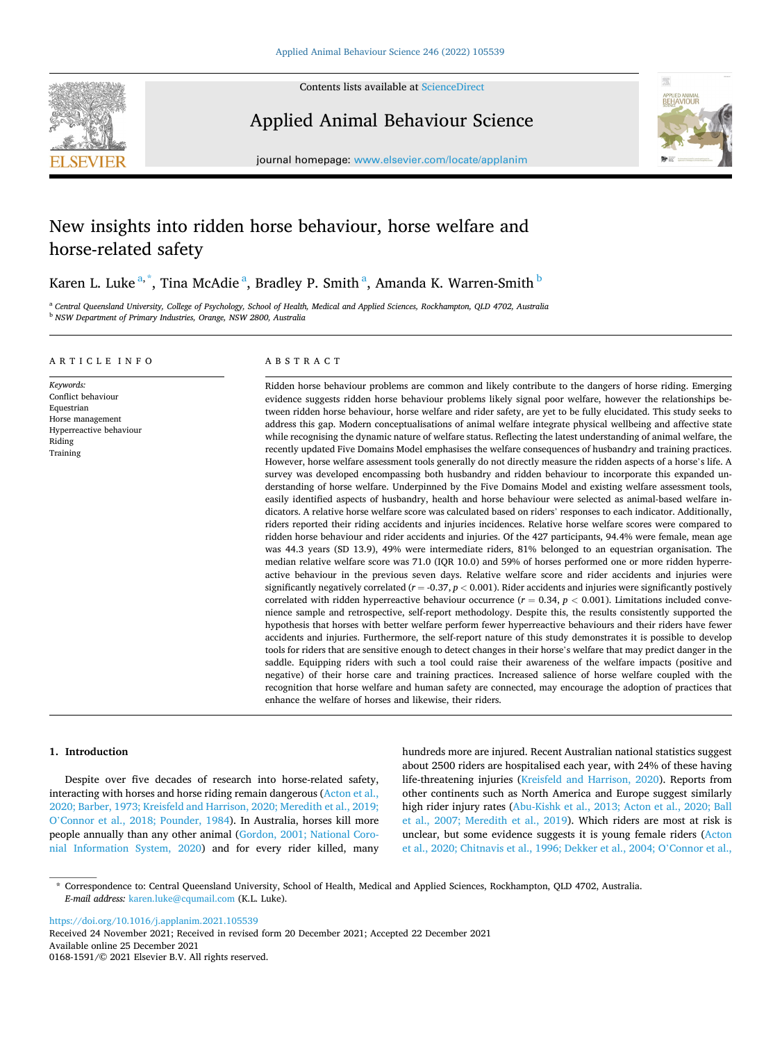

Contents lists available at [ScienceDirect](www.sciencedirect.com/science/journal/01681591)

Applied Animal Behaviour Science



journal homepage: [www.elsevier.com/locate/applanim](https://www.elsevier.com/locate/applanim)

# New insights into ridden horse behaviour, horse welfare and horse-related safety

Karen L. Luke $^{\mathrm{a},\mathrm{*}}$ , Tina McAdie $^{\mathrm{a}}$ , Bradley P. Smith $^{\mathrm{a}}$ , Amanda K. Warren-Smith $^{\mathrm{b}}$ 

<sup>a</sup> *Central Queensland University, College of Psychology, School of Health, Medical and Applied Sciences, Rockhampton, QLD 4702, Australia* <sup>b</sup> *NSW Department of Primary Industries, Orange, NSW 2800, Australia* 

## ARTICLE INFO

*Keywords:*  Conflict behaviour Equestrian Horse management Hyperreactive behaviour Riding Training

# ABSTRACT

Ridden horse behaviour problems are common and likely contribute to the dangers of horse riding. Emerging evidence suggests ridden horse behaviour problems likely signal poor welfare, however the relationships between ridden horse behaviour, horse welfare and rider safety, are yet to be fully elucidated. This study seeks to address this gap. Modern conceptualisations of animal welfare integrate physical wellbeing and affective state while recognising the dynamic nature of welfare status. Reflecting the latest understanding of animal welfare, the recently updated Five Domains Model emphasises the welfare consequences of husbandry and training practices. However, horse welfare assessment tools generally do not directly measure the ridden aspects of a horse's life. A survey was developed encompassing both husbandry and ridden behaviour to incorporate this expanded understanding of horse welfare. Underpinned by the Five Domains Model and existing welfare assessment tools, easily identified aspects of husbandry, health and horse behaviour were selected as animal-based welfare indicators. A relative horse welfare score was calculated based on riders' responses to each indicator. Additionally, riders reported their riding accidents and injuries incidences. Relative horse welfare scores were compared to ridden horse behaviour and rider accidents and injuries. Of the 427 participants, 94.4% were female, mean age was 44.3 years (SD 13.9), 49% were intermediate riders, 81% belonged to an equestrian organisation. The median relative welfare score was 71.0 (IQR 10.0) and 59% of horses performed one or more ridden hyperreactive behaviour in the previous seven days. Relative welfare score and rider accidents and injuries were significantly negatively correlated  $(r = -0.37, p < 0.001)$ . Rider accidents and injuries were significantly postively correlated with ridden hyperreactive behaviour occurrence  $(r = 0.34, p < 0.001)$ . Limitations included convenience sample and retrospective, self-report methodology. Despite this, the results consistently supported the hypothesis that horses with better welfare perform fewer hyperreactive behaviours and their riders have fewer accidents and injuries. Furthermore, the self-report nature of this study demonstrates it is possible to develop tools for riders that are sensitive enough to detect changes in their horse's welfare that may predict danger in the saddle. Equipping riders with such a tool could raise their awareness of the welfare impacts (positive and negative) of their horse care and training practices. Increased salience of horse welfare coupled with the recognition that horse welfare and human safety are connected, may encourage the adoption of practices that enhance the welfare of horses and likewise, their riders.

## **1. Introduction**

Despite over five decades of research into horse-related safety, interacting with horses and horse riding remain dangerous ([Acton et al.,](#page-6-0)  [2020; Barber, 1973; Kreisfeld and Harrison, 2020; Meredith et al., 2019;](#page-6-0)  O'[Connor et al., 2018; Pounder, 1984\)](#page-6-0). In Australia, horses kill more people annually than any other animal [\(Gordon, 2001; National Coro](#page-6-0)[nial Information System, 2020\)](#page-6-0) and for every rider killed, many

hundreds more are injured. Recent Australian national statistics suggest about 2500 riders are hospitalised each year, with 24% of these having life-threatening injuries [\(Kreisfeld and Harrison, 2020](#page-6-0)). Reports from other continents such as North America and Europe suggest similarly high rider injury rates ([Abu-Kishk et al., 2013; Acton et al., 2020; Ball](#page-6-0)  [et al., 2007; Meredith et al., 2019](#page-6-0)). Which riders are most at risk is unclear, but some evidence suggests it is young female riders [\(Acton](#page-6-0)  [et al., 2020; Chitnavis et al., 1996; Dekker et al., 2004; O](#page-6-0)'Connor et al.,

<https://doi.org/10.1016/j.applanim.2021.105539>

Available online 25 December 2021 0168-1591/© 2021 Elsevier B.V. All rights reserved. Received 24 November 2021; Received in revised form 20 December 2021; Accepted 22 December 2021

<sup>\*</sup> Correspondence to: Central Queensland University, School of Health, Medical and Applied Sciences, Rockhampton, QLD 4702, Australia. *E-mail address:* [karen.luke@cqumail.com](mailto:karen.luke@cqumail.com) (K.L. Luke).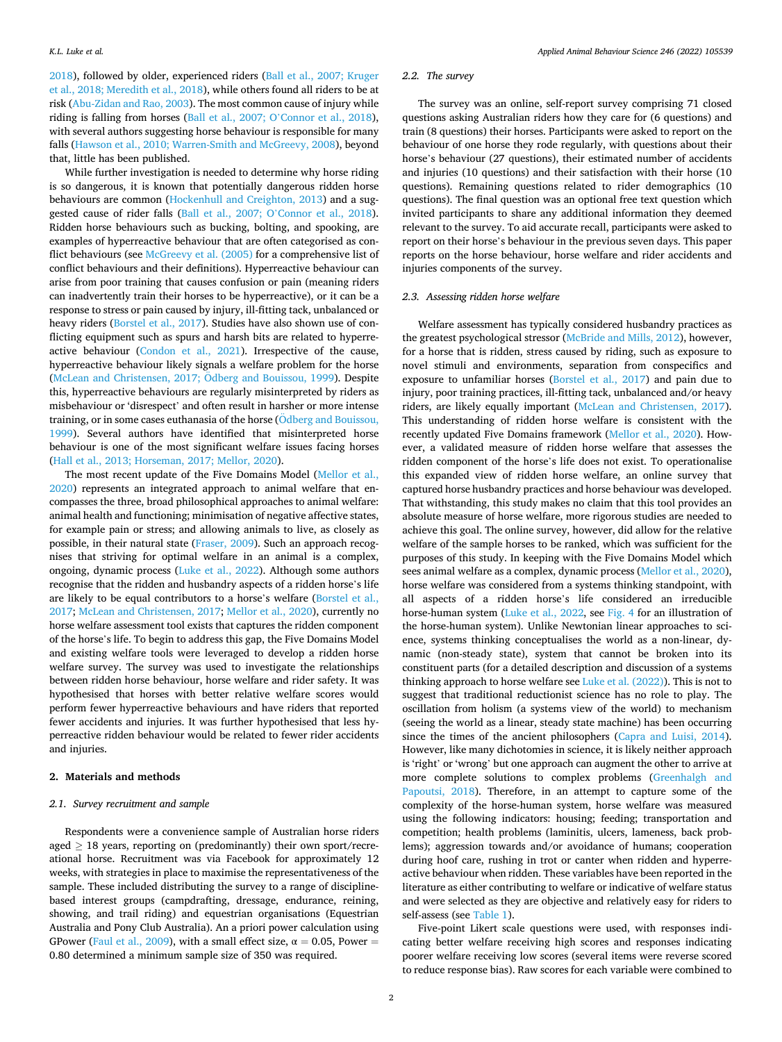[2018\)](#page-6-0), followed by older, experienced riders ([Ball et al., 2007; Kruger](#page-6-0)  [et al., 2018; Meredith et al., 2018\)](#page-6-0), while others found all riders to be at risk [\(Abu-Zidan and Rao, 2003](#page-6-0)). The most common cause of injury while riding is falling from horses (Ball et al., 2007; O'[Connor et al., 2018](#page-6-0)), with several authors suggesting horse behaviour is responsible for many falls [\(Hawson et al., 2010; Warren-Smith and McGreevy, 2008\)](#page-6-0), beyond that, little has been published.

While further investigation is needed to determine why horse riding is so dangerous, it is known that potentially dangerous ridden horse behaviours are common [\(Hockenhull and Creighton, 2013\)](#page-6-0) and a suggested cause of rider falls (Ball et al., 2007; O'[Connor et al., 2018](#page-6-0)). Ridden horse behaviours such as bucking, bolting, and spooking, are examples of hyperreactive behaviour that are often categorised as conflict behaviours (see [McGreevy et al. \(2005\)](#page-6-0) for a comprehensive list of conflict behaviours and their definitions). Hyperreactive behaviour can arise from poor training that causes confusion or pain (meaning riders can inadvertently train their horses to be hyperreactive), or it can be a response to stress or pain caused by injury, ill-fitting tack, unbalanced or heavy riders ([Borstel et al., 2017\)](#page-6-0). Studies have also shown use of conflicting equipment such as spurs and harsh bits are related to hyperreactive behaviour ([Condon et al., 2021\)](#page-6-0). Irrespective of the cause, hyperreactive behaviour likely signals a welfare problem for the horse (McLean and Christensen, 2017; Ödberg and Bouissou, 1999). Despite this, hyperreactive behaviours are regularly misinterpreted by riders as misbehaviour or 'disrespect' and often result in harsher or more intense training, or in some cases euthanasia of the horse  $\ddot{\text{O}}$ dberg and Bouissou, [1999\)](#page-7-0). Several authors have identified that misinterpreted horse behaviour is one of the most significant welfare issues facing horses ([Hall et al., 2013; Horseman, 2017; Mellor, 2020](#page-6-0)).

The most recent update of the Five Domains Model [\(Mellor et al.,](#page-6-0)  [2020\)](#page-6-0) represents an integrated approach to animal welfare that encompasses the three, broad philosophical approaches to animal welfare: animal health and functioning; minimisation of negative affective states, for example pain or stress; and allowing animals to live, as closely as possible, in their natural state [\(Fraser, 2009](#page-6-0)). Such an approach recognises that striving for optimal welfare in an animal is a complex, ongoing, dynamic process [\(Luke et al., 2022](#page-6-0)). Although some authors recognise that the ridden and husbandry aspects of a ridden horse's life are likely to be equal contributors to a horse's welfare ([Borstel et al.,](#page-6-0)  [2017; McLean and Christensen, 2017](#page-6-0); [Mellor et al., 2020\)](#page-6-0), currently no horse welfare assessment tool exists that captures the ridden component of the horse's life. To begin to address this gap, the Five Domains Model and existing welfare tools were leveraged to develop a ridden horse welfare survey. The survey was used to investigate the relationships between ridden horse behaviour, horse welfare and rider safety. It was hypothesised that horses with better relative welfare scores would perform fewer hyperreactive behaviours and have riders that reported fewer accidents and injuries. It was further hypothesised that less hyperreactive ridden behaviour would be related to fewer rider accidents and injuries.

#### **2. Materials and methods**

#### *2.1. Survey recruitment and sample*

Respondents were a convenience sample of Australian horse riders aged  $\geq$  18 years, reporting on (predominantly) their own sport/recreational horse. Recruitment was via Facebook for approximately 12 weeks, with strategies in place to maximise the representativeness of the sample. These included distributing the survey to a range of disciplinebased interest groups (campdrafting, dressage, endurance, reining, showing, and trail riding) and equestrian organisations (Equestrian Australia and Pony Club Australia). An a priori power calculation using GPower ([Faul et al., 2009\)](#page-6-0), with a small effect size,  $\alpha = 0.05$ , Power = 0.80 determined a minimum sample size of 350 was required.

#### *2.2. The survey*

The survey was an online, self-report survey comprising 71 closed questions asking Australian riders how they care for (6 questions) and train (8 questions) their horses. Participants were asked to report on the behaviour of one horse they rode regularly, with questions about their horse's behaviour (27 questions), their estimated number of accidents and injuries (10 questions) and their satisfaction with their horse (10 questions). Remaining questions related to rider demographics (10 questions). The final question was an optional free text question which invited participants to share any additional information they deemed relevant to the survey. To aid accurate recall, participants were asked to report on their horse's behaviour in the previous seven days. This paper reports on the horse behaviour, horse welfare and rider accidents and injuries components of the survey.

## *2.3. Assessing ridden horse welfare*

Welfare assessment has typically considered husbandry practices as the greatest psychological stressor ([McBride and Mills, 2012\)](#page-6-0), however, for a horse that is ridden, stress caused by riding, such as exposure to novel stimuli and environments, separation from conspecifics and exposure to unfamiliar horses [\(Borstel et al., 2017\)](#page-6-0) and pain due to injury, poor training practices, ill-fitting tack, unbalanced and/or heavy riders, are likely equally important ([McLean and Christensen, 2017](#page-6-0)). This understanding of ridden horse welfare is consistent with the recently updated Five Domains framework [\(Mellor et al., 2020\)](#page-6-0). However, a validated measure of ridden horse welfare that assesses the ridden component of the horse's life does not exist. To operationalise this expanded view of ridden horse welfare, an online survey that captured horse husbandry practices and horse behaviour was developed. That withstanding, this study makes no claim that this tool provides an absolute measure of horse welfare, more rigorous studies are needed to achieve this goal. The online survey, however, did allow for the relative welfare of the sample horses to be ranked, which was sufficient for the purposes of this study. In keeping with the Five Domains Model which sees animal welfare as a complex, dynamic process [\(Mellor et al., 2020](#page-6-0)), horse welfare was considered from a systems thinking standpoint, with all aspects of a ridden horse's life considered an irreducible horse-human system ([Luke et al., 2022,](#page-6-0) see [Fig. 4](#page-5-0) for an illustration of the horse-human system). Unlike Newtonian linear approaches to science, systems thinking conceptualises the world as a non-linear, dynamic (non-steady state), system that cannot be broken into its constituent parts (for a detailed description and discussion of a systems thinking approach to horse welfare see [Luke et al. \(2022\)\)](#page-6-0). This is not to suggest that traditional reductionist science has no role to play. The oscillation from holism (a systems view of the world) to mechanism (seeing the world as a linear, steady state machine) has been occurring since the times of the ancient philosophers [\(Capra and Luisi, 2014](#page-6-0)). However, like many dichotomies in science, it is likely neither approach is 'right' or 'wrong' but one approach can augment the other to arrive at more complete solutions to complex problems ([Greenhalgh and](#page-6-0)  [Papoutsi, 2018\)](#page-6-0). Therefore, in an attempt to capture some of the complexity of the horse-human system, horse welfare was measured using the following indicators: housing; feeding; transportation and competition; health problems (laminitis, ulcers, lameness, back problems); aggression towards and/or avoidance of humans; cooperation during hoof care, rushing in trot or canter when ridden and hyperreactive behaviour when ridden. These variables have been reported in the literature as either contributing to welfare or indicative of welfare status and were selected as they are objective and relatively easy for riders to self-assess (see [Table 1\)](#page-2-0).

Five-point Likert scale questions were used, with responses indicating better welfare receiving high scores and responses indicating poorer welfare receiving low scores (several items were reverse scored to reduce response bias). Raw scores for each variable were combined to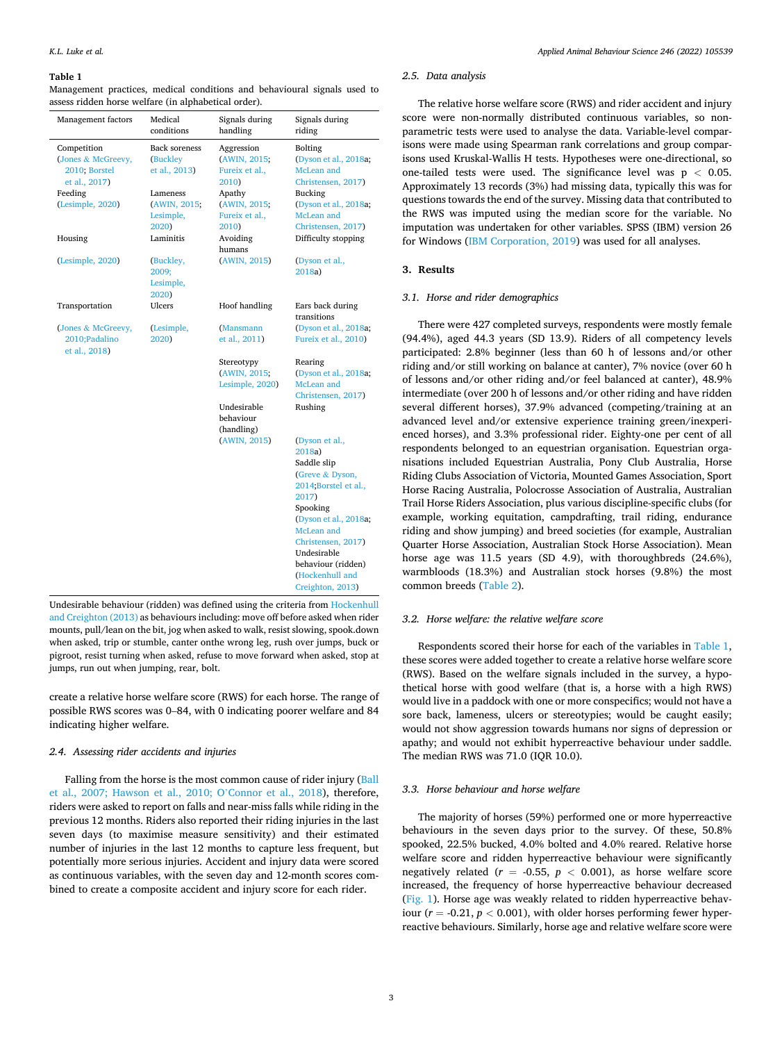#### <span id="page-2-0"></span>**Table 1**

Management practices, medical conditions and behavioural signals used to assess ridden horse welfare (in alphabetical order).

| Management factors                                                             | Medical<br>conditions                                         | Signals during<br>handling                                      | Signals during<br>riding                                                                                                                                                                                                                         |  |
|--------------------------------------------------------------------------------|---------------------------------------------------------------|-----------------------------------------------------------------|--------------------------------------------------------------------------------------------------------------------------------------------------------------------------------------------------------------------------------------------------|--|
| Competition<br>(Jones & McGreevy,<br>2010; Borstel<br>et al., 2017)<br>Feeding | <b>Back soreness</b><br>(Buckley<br>et al., 2013)<br>Lameness | Aggression<br>(AWIN, 2015;<br>Fureix et al.,<br>2010)<br>Apathy | Bolting<br>(Dyson et al., 2018a;<br>McLean and<br>Christensen, 2017)<br>Bucking                                                                                                                                                                  |  |
| (Lesimple, 2020)                                                               | (AWIN, 2015;<br>Lesimple,<br>2020)                            | (AWIN, 2015;<br>Fureix et al.,<br>2010)                         | (Dyson et al., 2018a;<br>McLean and<br>Christensen, 2017)                                                                                                                                                                                        |  |
| Housing                                                                        | Laminitis                                                     | Avoiding<br>humans                                              | Difficulty stopping                                                                                                                                                                                                                              |  |
| (Lesimple, 2020)                                                               | (Buckley,<br>2009;<br>Lesimple,<br>2020)                      | (AWIN, 2015)                                                    | (Dyson et al.,<br>2018a)                                                                                                                                                                                                                         |  |
| Transportation                                                                 | Ulcers                                                        | Hoof handling                                                   | Ears back during<br>transitions                                                                                                                                                                                                                  |  |
| (Jones & McGreevy,<br>2010; Padalino<br>et al., 2018)                          | (Lesimple,<br>2020)                                           | (Mansmann<br>et al., 2011)                                      | (Dyson et al., 2018a;<br>Fureix et al., 2010)                                                                                                                                                                                                    |  |
|                                                                                |                                                               | Stereotypy<br>(AWIN, 2015;<br>Lesimple, 2020)                   | Rearing<br>(Dyson et al., 2018a;<br>McLean and<br>Christensen, 2017)                                                                                                                                                                             |  |
|                                                                                |                                                               | Undesirable<br>behaviour<br>(handling)                          | Rushing                                                                                                                                                                                                                                          |  |
|                                                                                |                                                               | (AWIN, 2015)                                                    | (Dyson et al.,<br>2018a)<br>Saddle slip<br>(Greve & Dyson,<br>2014;Borstel et al.,<br>2017)<br>Spooking<br>(Dyson et al., 2018a;<br>McLean and<br>Christensen, 2017)<br>Undesirable<br>behaviour (ridden)<br>(Hockenhull and<br>Creighton, 2013) |  |

Undesirable behaviour (ridden) was defined using the criteria from [Hockenhull](#page-6-0)  [and Creighton \(2013\)](#page-6-0) as behaviours including: move off before asked when rider mounts, pull/lean on the bit, jog when asked to walk, resist slowing, spook.down when asked, trip or stumble, canter onthe wrong leg, rush over jumps, buck or pigroot, resist turning when asked, refuse to move forward when asked, stop at jumps, run out when jumping, rear, bolt.

create a relative horse welfare score (RWS) for each horse. The range of possible RWS scores was 0–84, with 0 indicating poorer welfare and 84 indicating higher welfare.

## *2.4. Assessing rider accidents and injuries*

Falling from the horse is the most common cause of rider injury [\(Ball](#page-6-0)  [et al., 2007; Hawson et al., 2010; O](#page-6-0)'Connor et al., 2018), therefore, riders were asked to report on falls and near-miss falls while riding in the previous 12 months. Riders also reported their riding injuries in the last seven days (to maximise measure sensitivity) and their estimated number of injuries in the last 12 months to capture less frequent, but potentially more serious injuries. Accident and injury data were scored as continuous variables, with the seven day and 12-month scores combined to create a composite accident and injury score for each rider.

#### *2.5. Data analysis*

The relative horse welfare score (RWS) and rider accident and injury score were non-normally distributed continuous variables, so nonparametric tests were used to analyse the data. Variable-level comparisons were made using Spearman rank correlations and group comparisons used Kruskal-Wallis H tests. Hypotheses were one-directional, so one-tailed tests were used. The significance level was p *<* 0.05. Approximately 13 records (3%) had missing data, typically this was for questions towards the end of the survey. Missing data that contributed to the RWS was imputed using the median score for the variable. No imputation was undertaken for other variables. SPSS (IBM) version 26 for Windows [\(IBM Corporation, 2019\)](#page-6-0) was used for all analyses.

#### **3. Results**

#### *3.1. Horse and rider demographics*

There were 427 completed surveys, respondents were mostly female (94.4%), aged 44.3 years (SD 13.9). Riders of all competency levels participated: 2.8% beginner (less than 60 h of lessons and/or other riding and/or still working on balance at canter), 7% novice (over 60 h of lessons and/or other riding and/or feel balanced at canter), 48.9% intermediate (over 200 h of lessons and/or other riding and have ridden several different horses), 37.9% advanced (competing/training at an advanced level and/or extensive experience training green/inexperienced horses), and 3.3% professional rider. Eighty-one per cent of all respondents belonged to an equestrian organisation. Equestrian organisations included Equestrian Australia, Pony Club Australia, Horse Riding Clubs Association of Victoria, Mounted Games Association, Sport Horse Racing Australia, Polocrosse Association of Australia, Australian Trail Horse Riders Association, plus various discipline-specific clubs (for example, working equitation, campdrafting, trail riding, endurance riding and show jumping) and breed societies (for example, Australian Quarter Horse Association, Australian Stock Horse Association). Mean horse age was 11.5 years (SD 4.9), with thoroughbreds (24.6%), warmbloods (18.3%) and Australian stock horses (9.8%) the most common breeds ([Table 2](#page-3-0)).

## *3.2. Horse welfare: the relative welfare score*

Respondents scored their horse for each of the variables in Table 1, these scores were added together to create a relative horse welfare score (RWS). Based on the welfare signals included in the survey, a hypothetical horse with good welfare (that is, a horse with a high RWS) would live in a paddock with one or more conspecifics; would not have a sore back, lameness, ulcers or stereotypies; would be caught easily; would not show aggression towards humans nor signs of depression or apathy; and would not exhibit hyperreactive behaviour under saddle. The median RWS was 71.0 (IQR 10.0).

## *3.3. Horse behaviour and horse welfare*

The majority of horses (59%) performed one or more hyperreactive behaviours in the seven days prior to the survey. Of these, 50.8% spooked, 22.5% bucked, 4.0% bolted and 4.0% reared. Relative horse welfare score and ridden hyperreactive behaviour were significantly negatively related ( $r = -0.55$ ,  $p < 0.001$ ), as horse welfare score increased, the frequency of horse hyperreactive behaviour decreased ([Fig. 1\)](#page-3-0). Horse age was weakly related to ridden hyperreactive behaviour  $(r = -0.21, p < 0.001)$ , with older horses performing fewer hyperreactive behaviours. Similarly, horse age and relative welfare score were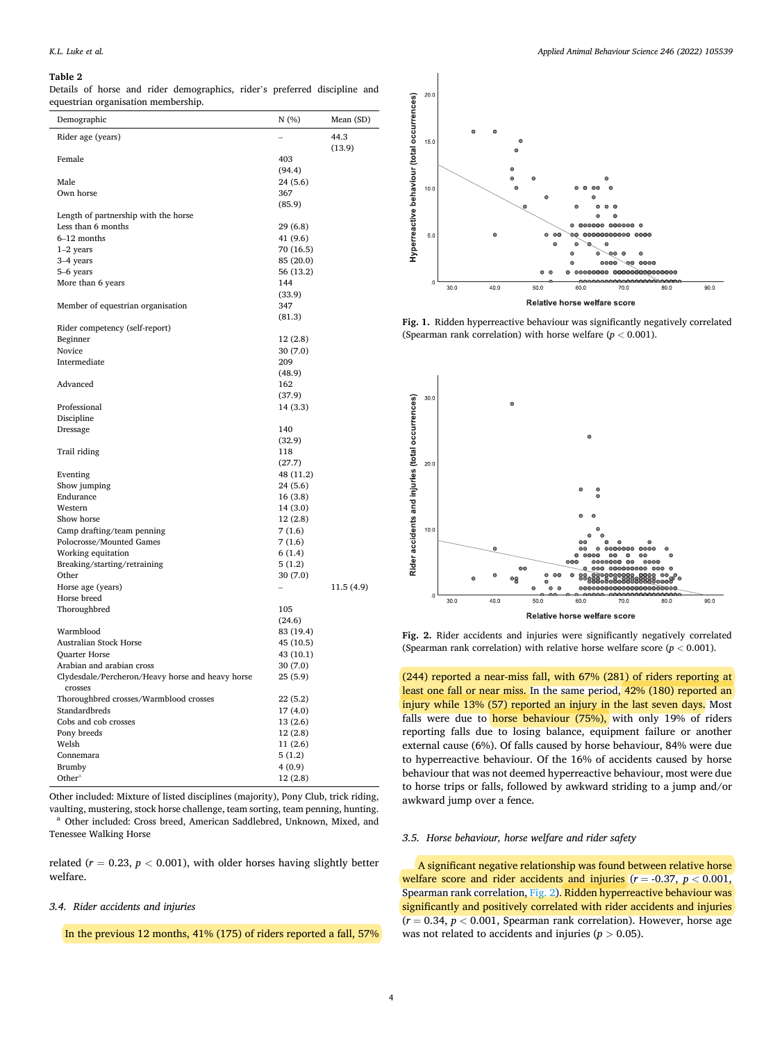#### <span id="page-3-0"></span>**Table 2**

Details of horse and rider demographics, rider's preferred discipline and equestrian organisation membership.

| Demographic                                       | N(%)                   | Mean (SD) |
|---------------------------------------------------|------------------------|-----------|
| Rider age (years)                                 |                        | 44.3      |
|                                                   |                        | (13.9)    |
| Female                                            | 403                    |           |
|                                                   | (94.4)                 |           |
| Male                                              | 24(5.6)                |           |
| Own horse                                         | 367                    |           |
|                                                   | (85.9)                 |           |
| Length of partnership with the horse              |                        |           |
| Less than 6 months                                | 29(6.8)                |           |
| 6-12 months<br>$1-2$ years                        | 41 (9.6)               |           |
| 3-4 years                                         | 70 (16.5)<br>85 (20.0) |           |
| 5-6 years                                         | 56 (13.2)              |           |
| More than 6 years                                 | 144                    |           |
|                                                   | (33.9)                 |           |
| Member of equestrian organisation                 | 347                    |           |
|                                                   | (81.3)                 |           |
| Rider competency (self-report)                    |                        |           |
| Beginner                                          | 12(2.8)                |           |
| Novice                                            | 30(7.0)                |           |
| Intermediate                                      | 209                    |           |
|                                                   | (48.9)                 |           |
| Advanced                                          | 162                    |           |
|                                                   | (37.9)                 |           |
| Professional                                      | 14(3.3)                |           |
| Discipline                                        |                        |           |
| Dressage                                          | 140                    |           |
|                                                   | (32.9)                 |           |
| Trail riding                                      | 118<br>(27.7)          |           |
| Eventing                                          | 48 (11.2)              |           |
| Show jumping                                      | 24(5.6)                |           |
| Endurance                                         | 16 (3.8)               |           |
| Western                                           | 14 (3.0)               |           |
| Show horse                                        | 12(2.8)                |           |
| Camp drafting/team penning                        | 7(1.6)                 |           |
| Polocrosse/Mounted Games                          | 7(1.6)                 |           |
| Working equitation                                | 6(1.4)                 |           |
| Breaking/starting/retraining                      | 5(1.2)                 |           |
| Other                                             | 30(7.0)                |           |
| Horse age (years)                                 |                        | 11.5(4.9) |
| Horse breed                                       |                        |           |
| Thoroughbred                                      | 105                    |           |
|                                                   | (24.6)                 |           |
| Warmblood                                         | 83 (19.4)              |           |
| <b>Australian Stock Horse</b>                     | 45 (10.5)              |           |
| <b>Quarter Horse</b><br>Arabian and arabian cross | 43 (10.1)<br>30(7.0)   |           |
| Clydesdale/Percheron/Heavy horse and heavy horse  | 25(5.9)                |           |
| crosses                                           |                        |           |
| Thoroughbred crosses/Warmblood crosses            | 22(5.2)                |           |
| Standardbreds                                     | 17(4.0)                |           |
| Cobs and cob crosses                              | 13 (2.6)               |           |
| Pony breeds                                       | 12 (2.8)               |           |
| Welsh                                             | 11 (2.6)               |           |
| Connemara                                         | 5(1.2)                 |           |
| Brumby                                            | 4(0.9)                 |           |
| Other <sup>a</sup>                                | 12(2.8)                |           |
|                                                   |                        |           |

Other included: Mixture of listed disciplines (majority), Pony Club, trick riding, vaulting, mustering, stock horse challenge, team sorting, team penning, hunting. a Other included: Cross breed, American Saddlebred, Unknown, Mixed, and Tenessee Walking Horse

related ( $r = 0.23$ ,  $p < 0.001$ ), with older horses having slightly better welfare.

## *3.4. Rider accidents and injuries*

In the previous 12 months, 41% (175) of riders reported a fall, 57%



Fig. 1. Ridden hyperreactive behaviour was significantly negatively correlated (Spearman rank correlation) with horse welfare  $(p < 0.001)$ .



**Fig. 2.** Rider accidents and injuries were significantly negatively correlated (Spearman rank correlation) with relative horse welfare score  $(p < 0.001)$ .

(244) reported a near-miss fall, with 67% (281) of riders reporting at least one fall or near miss. In the same period, 42% (180) reported an injury while 13% (57) reported an injury in the last seven days. Most falls were due to horse behaviour (75%), with only 19% of riders reporting falls due to losing balance, equipment failure or another external cause (6%). Of falls caused by horse behaviour, 84% were due to hyperreactive behaviour. Of the 16% of accidents caused by horse behaviour that was not deemed hyperreactive behaviour, most were due to horse trips or falls, followed by awkward striding to a jump and/or awkward jump over a fence.

## *3.5. Horse behaviour, horse welfare and rider safety*

A significant negative relationship was found between relative horse welfare score and rider accidents and injuries  $(r = -0.37, p < 0.001,$ Spearman rank correlation, Fig. 2). Ridden hyperreactive behaviour was significantly and positively correlated with rider accidents and injuries  $(r = 0.34, p < 0.001$ , Spearman rank correlation). However, horse age was not related to accidents and injuries ( $p > 0.05$ ).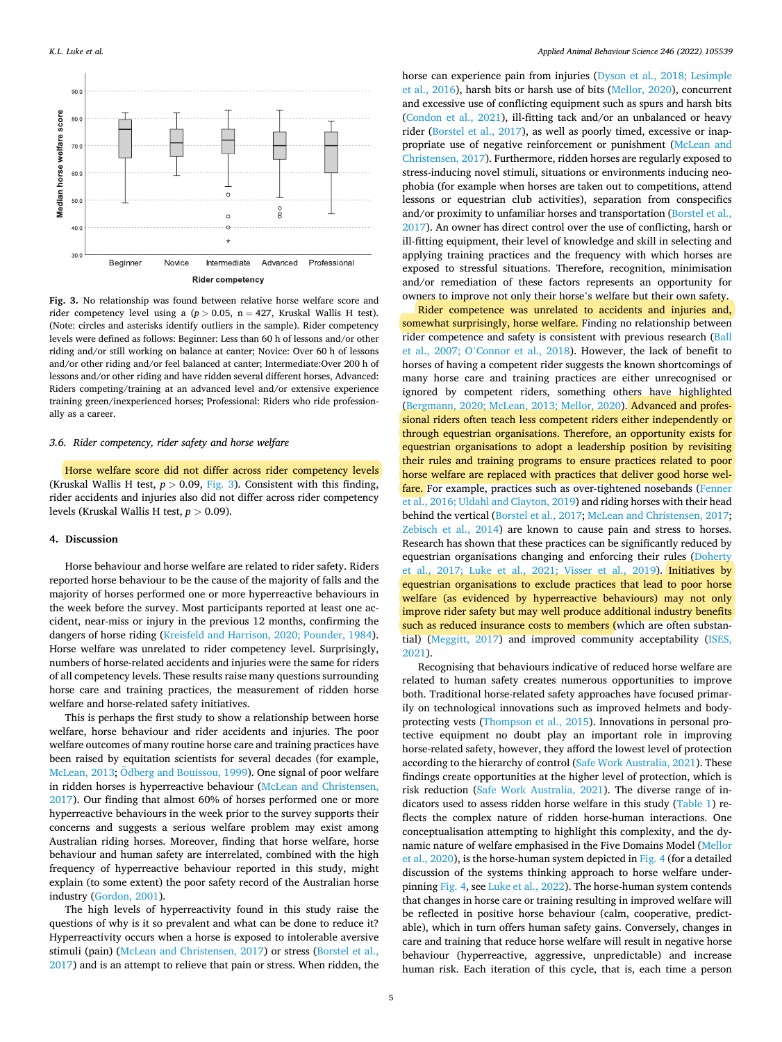

**Fig. 3.** No relationship was found between relative horse welfare score and rider competency level using a  $(p > 0.05, n = 427,$  Kruskal Wallis H test). (Note: circles and asterisks identify outliers in the sample). Rider competency levels were defined as follows: Beginner: Less than 60 h of lessons and/or other riding and/or still working on balance at canter; Novice: Over 60 h of lessons and/or other riding and/or feel balanced at canter; Intermediate:Over 200 h of lessons and/or other riding and have ridden several different horses, Advanced: Riders competing/training at an advanced level and/or extensive experience training green/inexperienced horses; Professional: Riders who ride professionally as a career.

### *3.6. Rider competency, rider safety and horse welfare*

Horse welfare score did not differ across rider competency levels (Kruskal Wallis H test,  $p > 0.09$ , Fig. 3). Consistent with this finding, rider accidents and injuries also did not differ across rider competency levels (Kruskal Wallis H test, *p >* 0.09).

## **4. Discussion**

Horse behaviour and horse welfare are related to rider safety. Riders reported horse behaviour to be the cause of the majority of falls and the majority of horses performed one or more hyperreactive behaviours in the week before the survey. Most participants reported at least one accident, near-miss or injury in the previous 12 months, confirming the dangers of horse riding ([Kreisfeld and Harrison, 2020; Pounder, 1984](#page-6-0)). Horse welfare was unrelated to rider competency level. Surprisingly, numbers of horse-related accidents and injuries were the same for riders of all competency levels. These results raise many questions surrounding horse care and training practices, the measurement of ridden horse welfare and horse-related safety initiatives.

This is perhaps the first study to show a relationship between horse welfare, horse behaviour and rider accidents and injuries. The poor welfare outcomes of many routine horse care and training practices have been raised by equitation scientists for several decades (for example, [McLean, 2013](#page-6-0); Odberg [and Bouissou, 1999\)](#page-7-0). One signal of poor welfare in ridden horses is hyperreactive behaviour [\(McLean and Christensen,](#page-6-0)  [2017\)](#page-6-0). Our finding that almost 60% of horses performed one or more hyperreactive behaviours in the week prior to the survey supports their concerns and suggests a serious welfare problem may exist among Australian riding horses. Moreover, finding that horse welfare, horse behaviour and human safety are interrelated, combined with the high frequency of hyperreactive behaviour reported in this study, might explain (to some extent) the poor safety record of the Australian horse industry [\(Gordon, 2001](#page-6-0)).

The high levels of hyperreactivity found in this study raise the questions of why is it so prevalent and what can be done to reduce it? Hyperreactivity occurs when a horse is exposed to intolerable aversive stimuli (pain) ([McLean and Christensen, 2017](#page-6-0)) or stress ([Borstel et al.,](#page-6-0)  [2017\)](#page-6-0) and is an attempt to relieve that pain or stress. When ridden, the horse can experience pain from injuries [\(Dyson et al., 2018; Lesimple](#page-6-0)  [et al., 2016](#page-6-0)), harsh bits or harsh use of bits ([Mellor, 2020\)](#page-6-0), concurrent and excessive use of conflicting equipment such as spurs and harsh bits ([Condon et al., 2021\)](#page-6-0), ill-fitting tack and/or an unbalanced or heavy rider [\(Borstel et al., 2017\)](#page-6-0), as well as poorly timed, excessive or inappropriate use of negative reinforcement or punishment ([McLean and](#page-6-0)  [Christensen, 2017\)](#page-6-0). Furthermore, ridden horses are regularly exposed to stress-inducing novel stimuli, situations or environments inducing neophobia (for example when horses are taken out to competitions, attend lessons or equestrian club activities), separation from conspecifics and/or proximity to unfamiliar horses and transportation ([Borstel et al.,](#page-6-0)  [2017\)](#page-6-0). An owner has direct control over the use of conflicting, harsh or ill-fitting equipment, their level of knowledge and skill in selecting and applying training practices and the frequency with which horses are exposed to stressful situations. Therefore, recognition, minimisation and/or remediation of these factors represents an opportunity for owners to improve not only their horse's welfare but their own safety.

Rider competence was unrelated to accidents and injuries and, somewhat surprisingly, horse welfare. Finding no relationship between rider competence and safety is consistent with previous research [\(Ball](#page-6-0)  et al., 2007; O'[Connor et al., 2018](#page-6-0)). However, the lack of benefit to horses of having a competent rider suggests the known shortcomings of many horse care and training practices are either unrecognised or ignored by competent riders, something others have highlighted ([Bergmann, 2020; McLean, 2013; Mellor, 2020](#page-6-0)). Advanced and professional riders often teach less competent riders either independently or through equestrian organisations. Therefore, an opportunity exists for equestrian organisations to adopt a leadership position by revisiting their rules and training programs to ensure practices related to poor horse welfare are replaced with practices that deliver good horse welfare. For example, practices such as over-tightened nosebands [\(Fenner](#page-6-0)  [et al., 2016; Uldahl and Clayton, 2019](#page-6-0)) and riding horses with their head behind the vertical ([Borstel et al., 2017; McLean and Christensen, 2017](#page-6-0); [Zebisch et al., 2014](#page-7-0)) are known to cause pain and stress to horses. Research has shown that these practices can be significantly reduced by equestrian organisations changing and enforcing their rules [\(Doherty](#page-6-0)  [et al., 2017; Luke et al., 2021; Visser et al., 2019\)](#page-6-0). Initiatives by equestrian organisations to exclude practices that lead to poor horse welfare (as evidenced by hyperreactive behaviours) may not only improve rider safety but may well produce additional industry benefits such as reduced insurance costs to members (which are often substantial) [\(Meggitt, 2017](#page-6-0)) and improved community acceptability ([ISES,](#page-6-0)  [2021\)](#page-6-0).

Recognising that behaviours indicative of reduced horse welfare are related to human safety creates numerous opportunities to improve both. Traditional horse-related safety approaches have focused primarily on technological innovations such as improved helmets and bodyprotecting vests [\(Thompson et al., 2015\)](#page-7-0). Innovations in personal protective equipment no doubt play an important role in improving horse-related safety, however, they afford the lowest level of protection according to the hierarchy of control [\(Safe Work Australia, 2021](#page-7-0)). These findings create opportunities at the higher level of protection, which is risk reduction [\(Safe Work Australia, 2021\)](#page-7-0). The diverse range of indicators used to assess ridden horse welfare in this study ([Table 1](#page-2-0)) reflects the complex nature of ridden horse-human interactions. One conceptualisation attempting to highlight this complexity, and the dynamic nature of welfare emphasised in the Five Domains Model ([Mellor](#page-6-0)  [et al., 2020\)](#page-6-0), is the horse-human system depicted in [Fig. 4](#page-5-0) (for a detailed discussion of the systems thinking approach to horse welfare underpinning [Fig. 4](#page-5-0), see [Luke et al., 2022](#page-6-0)). The horse-human system contends that changes in horse care or training resulting in improved welfare will be reflected in positive horse behaviour (calm, cooperative, predictable), which in turn offers human safety gains. Conversely, changes in care and training that reduce horse welfare will result in negative horse behaviour (hyperreactive, aggressive, unpredictable) and increase human risk. Each iteration of this cycle, that is, each time a person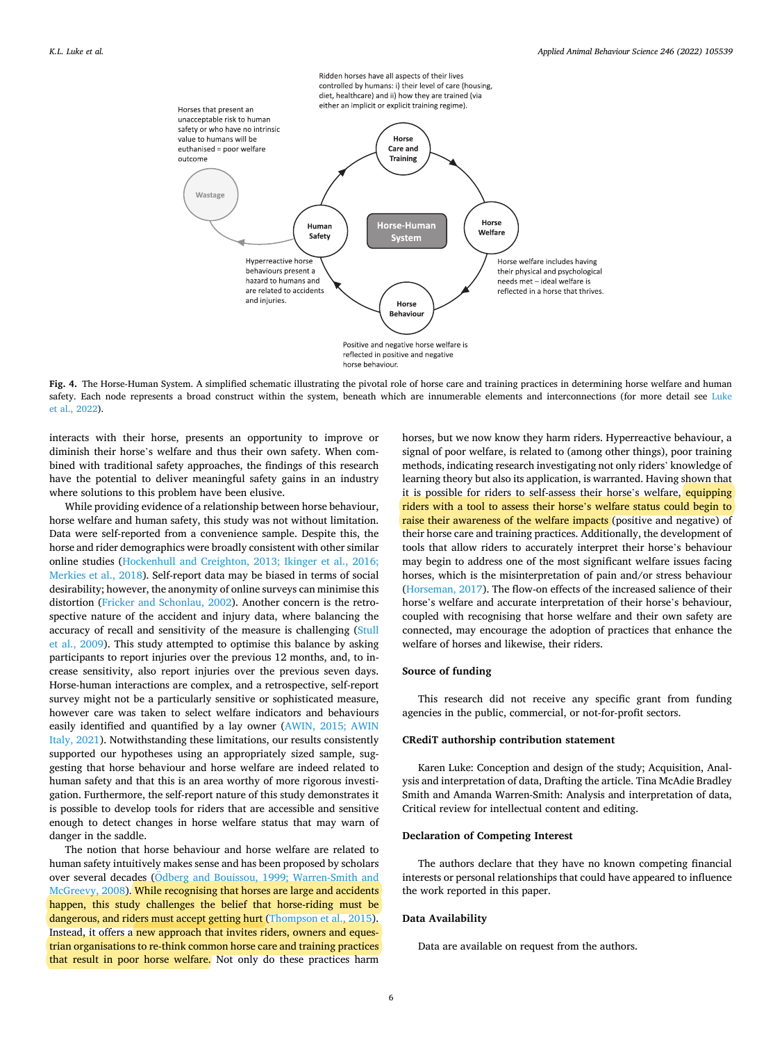<span id="page-5-0"></span>

Fig. 4. The Horse-Human System. A simplified schematic illustrating the pivotal role of horse care and training practices in determining horse welfare and human safety. Each node represents a broad construct within the system, beneath which are innumerable elements and interconnections (for more detail see Luke [et al., 2022](#page-6-0)).

interacts with their horse, presents an opportunity to improve or diminish their horse's welfare and thus their own safety. When combined with traditional safety approaches, the findings of this research have the potential to deliver meaningful safety gains in an industry where solutions to this problem have been elusive.

While providing evidence of a relationship between horse behaviour, horse welfare and human safety, this study was not without limitation. Data were self-reported from a convenience sample. Despite this, the horse and rider demographics were broadly consistent with other similar online studies [\(Hockenhull and Creighton, 2013; Ikinger et al., 2016;](#page-6-0)  [Merkies et al., 2018](#page-6-0)). Self-report data may be biased in terms of social desirability; however, the anonymity of online surveys can minimise this distortion ([Fricker and Schonlau, 2002](#page-6-0)). Another concern is the retrospective nature of the accident and injury data, where balancing the accuracy of recall and sensitivity of the measure is challenging ([Stull](#page-7-0)  [et al., 2009\)](#page-7-0). This study attempted to optimise this balance by asking participants to report injuries over the previous 12 months, and, to increase sensitivity, also report injuries over the previous seven days. Horse-human interactions are complex, and a retrospective, self-report survey might not be a particularly sensitive or sophisticated measure, however care was taken to select welfare indicators and behaviours easily identified and quantified by a lay owner ([AWIN, 2015; AWIN](#page-6-0)  [Italy, 2021](#page-6-0)). Notwithstanding these limitations, our results consistently supported our hypotheses using an appropriately sized sample, suggesting that horse behaviour and horse welfare are indeed related to human safety and that this is an area worthy of more rigorous investigation. Furthermore, the self-report nature of this study demonstrates it is possible to develop tools for riders that are accessible and sensitive enough to detect changes in horse welfare status that may warn of danger in the saddle.

The notion that horse behaviour and horse welfare are related to human safety intuitively makes sense and has been proposed by scholars over several decades (Odberg and Bouissou, 1999; Warren-Smith and [McGreevy, 2008](#page-7-0)). While recognising that horses are large and accidents happen, this study challenges the belief that horse-riding must be dangerous, and riders must accept getting hurt [\(Thompson et al., 2015](#page-7-0)). Instead, it offers a new approach that invites riders, owners and equestrian organisations to re-think common horse care and training practices that result in poor horse welfare. Not only do these practices harm

horses, but we now know they harm riders. Hyperreactive behaviour, a signal of poor welfare, is related to (among other things), poor training methods, indicating research investigating not only riders' knowledge of learning theory but also its application, is warranted. Having shown that it is possible for riders to self-assess their horse's welfare, equipping riders with a tool to assess their horse's welfare status could begin to raise their awareness of the welfare impacts (positive and negative) of their horse care and training practices. Additionally, the development of tools that allow riders to accurately interpret their horse's behaviour may begin to address one of the most significant welfare issues facing horses, which is the misinterpretation of pain and/or stress behaviour ([Horseman, 2017\)](#page-6-0). The flow-on effects of the increased salience of their horse's welfare and accurate interpretation of their horse's behaviour, coupled with recognising that horse welfare and their own safety are connected, may encourage the adoption of practices that enhance the welfare of horses and likewise, their riders.

# **Source of funding**

This research did not receive any specific grant from funding agencies in the public, commercial, or not-for-profit sectors.

# **CRediT authorship contribution statement**

Karen Luke: Conception and design of the study; Acquisition, Analysis and interpretation of data, Drafting the article. Tina McAdie Bradley Smith and Amanda Warren-Smith: Analysis and interpretation of data, Critical review for intellectual content and editing.

## **Declaration of Competing Interest**

The authors declare that they have no known competing financial interests or personal relationships that could have appeared to influence the work reported in this paper.

# **Data Availability**

Data are available on request from the authors.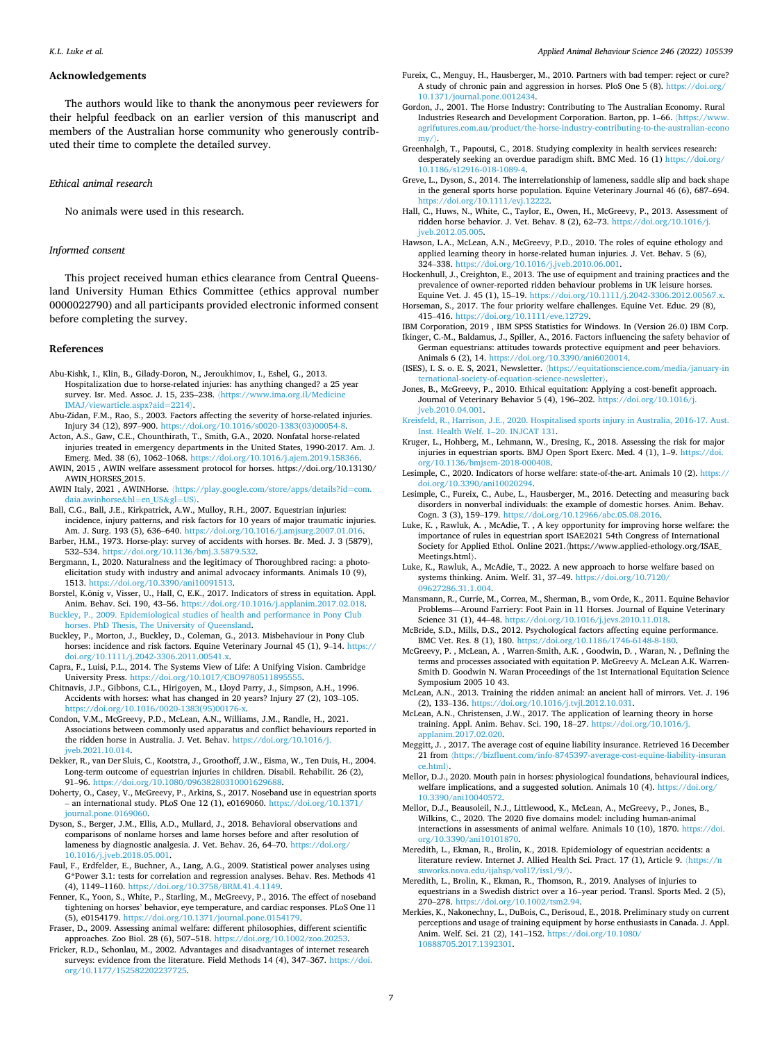#### *Applied Animal Behaviour Science 246 (2022) 105539*

## <span id="page-6-0"></span>**Acknowledgements**

The authors would like to thank the anonymous peer reviewers for their helpful feedback on an earlier version of this manuscript and members of the Australian horse community who generously contributed their time to complete the detailed survey.

#### *Ethical animal research*

No animals were used in this research.

## *Informed consent*

This project received human ethics clearance from Central Queensland University Human Ethics Committee (ethics approval number 0000022790) and all participants provided electronic informed consent before completing the survey.

#### **References**

- Abu-Kishk, I., Klin, B., Gilady-Doron, N., Jeroukhimov, I., Eshel, G., 2013. Hospitalization due to horse-related injuries: has anything changed? a 25 year survey. Isr. Med. Assoc. J. 15, 235-238. (https://www.ima.org.il/Medicin [IMAJ/viewarticle.aspx?aid](https://www.ima.org.il/MedicineIMAJ/viewarticle.aspx?aid=2214)=2214〉.
- Abu-Zidan, F.M., Rao, S., 2003. Factors affecting the severity of horse-related injuries. Injury 34 (12), 897–900. [https://doi.org/10.1016/s0020-1383\(03\)00054-8](https://doi.org/10.1016/s0020-1383(03)00054-8).
- Acton, A.S., Gaw, C.E., Chounthirath, T., Smith, G.A., 2020. Nonfatal horse-related injuries treated in emergency departments in the United States, 1990-2017. Am. J. Emerg. Med. 38 (6), 1062-1068. https://doi.org/10.1016/j.ajem.2019.15836.
- AWIN, 2015 , AWIN welfare assessment protocol for horses. https://doi.org/10.13130/ AWIN\_HORSES\_2015.
- AWIN Italy, 2021 , AWINHorse. 〈[https://play.google.com/store/apps/details?id](https://play.google.com/store/apps/details?id=com.daia.awinhorse&hl=en_US&gl=US)=com. [daia.awinhorse](https://play.google.com/store/apps/details?id=com.daia.awinhorse&hl=en_US&gl=US)&hl=en\_US&gl=US〉.
- Ball, C.G., Ball, J.E., Kirkpatrick, A.W., Mulloy, R.H., 2007. Equestrian injuries: incidence, injury patterns, and risk factors for 10 years of major traumatic injuries. Am. J. Surg. 193 (5), 636–640. <https://doi.org/10.1016/j.amjsurg.2007.01.016>. Barber, H.M., 1973. Horse-play: survey of accidents with horses. Br. Med. J. 3 (5879),
- 532–534. [https://doi.org/10.1136/bmj.3.5879.532.](https://doi.org/10.1136/bmj.3.5879.532) Bergmann, I., 2020. Naturalness and the legitimacy of Thoroughbred racing: a photo-
- elicitation study with industry and animal advocacy informants. Animals 10 (9), 1513. https://doi.org/10.3390/ani1009151
- Borstel, K.önig v, Visser, U., Hall, C, E.K., 2017. Indicators of stress in equitation. Appl. Anim. Behav. Sci. 190, 43–56. [https://doi.org/10.1016/j.applanim.2017.02.018.](https://doi.org/10.1016/j.applanim.2017.02.018)
- [Buckley, P., 2009. Epidemiological studies of health and performance in Pony Club](http://refhub.elsevier.com/S0168-1591(21)00326-9/sbref8)  [horses. PhD Thesis, The University of Queensland](http://refhub.elsevier.com/S0168-1591(21)00326-9/sbref8).
- Buckley, P., Morton, J., Buckley, D., Coleman, G., 2013. Misbehaviour in Pony Club horses: incidence and risk factors. Equine Veterinary Journal 45 (1), 9–14. [https://](https://doi.org/10.1111/j.2042-3306.2011.00541.x)  [doi.org/10.1111/j.2042-3306.2011.00541.x.](https://doi.org/10.1111/j.2042-3306.2011.00541.x)
- Capra, F., Luisi, P.L., 2014. The Systems View of Life: A Unifying Vision. Cambridge University Press. <https://doi.org/10.1017/CBO9780511895555>.
- Chitnavis, J.P., Gibbons, C.L., Hirigoyen, M., Lloyd Parry, J., Simpson, A.H., 1996. Accidents with horses: what has changed in 20 years? Injury 27 (2), 103–105. [https://doi.org/10.1016/0020-1383\(95\)00176-x](https://doi.org/10.1016/0020-1383(95)00176-x).
- Condon, V.M., McGreevy, P.D., McLean, A.N., Williams, J.M., Randle, H., 2021. Associations between commonly used apparatus and conflict behaviours reported in the ridden horse in Australia. J. Vet. Behav. [https://doi.org/10.1016/j.](https://doi.org/10.1016/j.jveb.2021.10.014)  [jveb.2021.10.014](https://doi.org/10.1016/j.jveb.2021.10.014).
- Dekker, R., van Der Sluis, C., Kootstra, J., Groothoff, J.W., Eisma, W., Ten Duis, H., 2004. Long-term outcome of equestrian injuries in children. Disabil. Rehabilit. 26 (2), 91–96. [https://doi.org/10.1080/09638280310001629688.](https://doi.org/10.1080/09638280310001629688)
- Doherty, O., Casey, V., McGreevy, P., Arkins, S., 2017. Noseband use in equestrian sports – an international study. PLoS One 12 (1), e0169060. [https://doi.org/10.1371/](https://doi.org/10.1371/journal.pone.0169060)  [journal.pone.0169060](https://doi.org/10.1371/journal.pone.0169060).
- Dyson, S., Berger, J.M., Ellis, A.D., Mullard, J., 2018. Behavioral observations and comparisons of nonlame horses and lame horses before and after resolution of lameness by diagnostic analgesia. J. Vet. Behav. 26, 64-70. https://doi.org/ [10.1016/j.jveb.2018.05.001](https://doi.org/10.1016/j.jveb.2018.05.001).
- Faul, F., Erdfelder, E., Buchner, A., Lang, A.G., 2009. Statistical power analyses using G\*Power 3.1: tests for correlation and regression analyses. Behav. Res. Methods 41 (4), 1149–1160. [https://doi.org/10.3758/BRM.41.4.1149.](https://doi.org/10.3758/BRM.41.4.1149)
- Fenner, K., Yoon, S., White, P., Starling, M., McGreevy, P., 2016. The effect of noseband tightening on horses' behavior, eye temperature, and cardiac responses. PLoS One 11 (5), e0154179. <https://doi.org/10.1371/journal.pone.0154179>.
- Fraser, D., 2009. Assessing animal welfare: different philosophies, different scientific approaches. Zoo Biol. 28 (6), 507–518. [https://doi.org/10.1002/zoo.20253.](https://doi.org/10.1002/zoo.20253)
- Fricker, R.D., Schonlau, M., 2002. Advantages and disadvantages of internet research surveys: evidence from the literature. Field Methods 14 (4), 347–367. [https://doi.](https://doi.org/10.1177/152582202237725)  [org/10.1177/152582202237725](https://doi.org/10.1177/152582202237725).
- Fureix, C., Menguy, H., Hausberger, M., 2010. Partners with bad temper: reject or cure? A study of chronic pain and aggression in horses. PloS One 5 (8). [https://doi.org/](https://doi.org/10.1371/journal.pone.0012434)  [10.1371/journal.pone.0012434.](https://doi.org/10.1371/journal.pone.0012434)
- Gordon, J., 2001. The Horse Industry: Contributing to The Australian Economy. Rural Industries Research and Development Corporation. Barton, pp. 1–66. 〈[https://www.](https://www.agrifutures.com.au/product/the-horse-industry-contributing-to-the-australian-economy/)  [agrifutures.com.au/product/the-horse-industry-contributing-to-the-australian-econo](https://www.agrifutures.com.au/product/the-horse-industry-contributing-to-the-australian-economy/)
- [my/](https://www.agrifutures.com.au/product/the-horse-industry-contributing-to-the-australian-economy/)).<br>Greenhalgh, T., Papoutsi, C., 2018. Studying complexity in health services research: desperately seeking an overdue paradigm shift. BMC Med. 16 (1) [https://doi.org/](https://doi.org/10.1186/s12916-018-1089-4) [10.1186/s12916-018-1089-4](https://doi.org/10.1186/s12916-018-1089-4).
- Greve, L., Dyson, S., 2014. The interrelationship of lameness, saddle slip and back shape in the general sports horse population. Equine Veterinary Journal 46 (6), 687–694. /doi.org/10.1111/evj.1222
- Hall, C., Huws, N., White, C., Taylor, E., Owen, H., McGreevy, P., 2013. Assessment of ridden horse behavior. J. Vet. Behav. 8 (2), 62–73. [https://doi.org/10.1016/j.](https://doi.org/10.1016/j.jveb.2012.05.005)  [jveb.2012.05.005](https://doi.org/10.1016/j.jveb.2012.05.005).
- Hawson, L.A., McLean, A.N., McGreevy, P.D., 2010. The roles of equine ethology and applied learning theory in horse-related human injuries. J. Vet. Behav. 5 (6), 324–338. <https://doi.org/10.1016/j.jveb.2010.06.001>.
- Hockenhull, J., Creighton, E., 2013. The use of equipment and training practices and the prevalence of owner-reported ridden behaviour problems in UK leisure horses. Equine Vet. J. 45 (1), 15–19. [https://doi.org/10.1111/j.2042-3306.2012.00567.x.](https://doi.org/10.1111/j.2042-3306.2012.00567.x)
- Horseman, S., 2017. The four priority welfare challenges. Equine Vet. Educ. 29 (8), 415–416. <https://doi.org/10.1111/eve.12729>.
- IBM Corporation, 2019 , IBM SPSS Statistics for Windows. In (Version 26.0) IBM Corp. Ikinger, C.-M., Baldamus, J., Spiller, A., 2016. Factors influencing the safety behavior of German equestrians: attitudes towards protective equipment and peer behaviors. Animals 6 (2), 14. <https://doi.org/10.3390/ani6020014>.
- (ISES), I. S. o. E. S, 2021, Newsletter. 〈[https://equitationscience.com/media/january-in](https://equitationscience.com/media/january-international-society-of-equation-science-newsletter)  [ternational-society-of-equation-science-newsletter](https://equitationscience.com/media/january-international-society-of-equation-science-newsletter)〉.
- Jones, B., McGreevy, P., 2010. Ethical equitation: Applying a cost-benefit approach. Journal of Veterinary Behavior 5 (4), 196–202. [https://doi.org/10.1016/j.](https://doi.org/10.1016/j.jveb.2010.04.001) [jveb.2010.04.001](https://doi.org/10.1016/j.jveb.2010.04.001).
- [Kreisfeld, R., Harrison, J.E., 2020. Hospitalised sports injury in Australia, 2016-17. Aust.](http://refhub.elsevier.com/S0168-1591(21)00326-9/sbref30)  [Inst. Health Welf. 1](http://refhub.elsevier.com/S0168-1591(21)00326-9/sbref30)–20. INJCAT 131.
- Kruger, L., Hohberg, M., Lehmann, W., Dresing, K., 2018. Assessing the risk for major injuries in equestrian sports. BMJ Open Sport Exerc. Med. 4 (1), 1–9. [https://doi.](https://doi.org/10.1136/bmjsem-2018-000408) [org/10.1136/bmjsem-2018-000408](https://doi.org/10.1136/bmjsem-2018-000408).
- Lesimple, C., 2020. Indicators of horse welfare: state-of-the-art. Animals 10 (2). [https://](https://doi.org/10.3390/ani10020294)  [doi.org/10.3390/ani10020294.](https://doi.org/10.3390/ani10020294)
- Lesimple, C., Fureix, C., Aube, L., Hausberger, M., 2016. Detecting and measuring back disorders in nonverbal individuals: the example of domestic horses. Anim. Behav. Cogn. 3 (3), 159–179. [https://doi.org/10.12966/abc.05.08.2016.](https://doi.org/10.12966/abc.05.08.2016)
- Luke, K. , Rawluk, A. , McAdie, T. , A key opportunity for improving horse welfare: the importance of rules in equestrian sport ISAE2021 54th Congress of International Society for Applied Ethol. Online 2021.〈https://www.applied-ethology.org/ISAE\_ Meetings.html〉.
- Luke, K., Rawluk, A., McAdie, T., 2022. A new approach to horse welfare based on systems thinking. Anim. Welf. 31, 37–49. [https://doi.org/10.7120/](https://doi.org/10.7120/09627286.31.1.004) [09627286.31.1.004](https://doi.org/10.7120/09627286.31.1.004).
- Mansmann, R., Currie, M., Correa, M., Sherman, B., vom Orde, K., 2011. Equine Behavior Problems—Around Farriery: Foot Pain in 11 Horses. Journal of Equine Veterinary Science 31 (1), 44–48. [https://doi.org/10.1016/j.jevs.2010.11.018.](https://doi.org/10.1016/j.jevs.2010.11.018)
- McBride, S.D., Mills, D.S., 2012. Psychological factors affecting equine performance. BMC Vet. Res. 8 (1), 180. [https://doi.org/10.1186/1746-6148-8-180.](https://doi.org/10.1186/1746-6148-8-180)
- McGreevy, P. , McLean, A. , Warren-Smith, A.K. , Goodwin, D. , Waran, N. , Defining the terms and processes associated with equitation P. McGreevy A. McLean A.K. Warren-Smith D. Goodwin N. Waran Proceedings of the 1st International Equitation Science Symposium 2005 10 43.
- McLean, A.N., 2013. Training the ridden animal: an ancient hall of mirrors. Vet. J. 196
- (2), 133–136. [https://doi.org/10.1016/j.tvjl.2012.10.031.](https://doi.org/10.1016/j.tvjl.2012.10.031) McLean, A.N., Christensen, J.W., 2017. The application of learning theory in horse training. Appl. Anim. Behav. Sci. 190, 18–27. [https://doi.org/10.1016/j.](https://doi.org/10.1016/j.applanim.2017.02.020) [applanim.2017.02.020.](https://doi.org/10.1016/j.applanim.2017.02.020)
- Meggitt, J. , 2017. The average cost of equine liability insurance. Retrieved 16 December 21 from 〈[https://bizfluent.com/info-8745397-average-cost-equine-liability-insuran](https://bizfluent.com/info-8745397-average-cost-equine-liability-insurance.html) [ce.html](https://bizfluent.com/info-8745397-average-cost-equine-liability-insurance.html)〉.
- Mellor, D.J., 2020. Mouth pain in horses: physiological foundations, behavioural indices, welfare implications, and a suggested solution. Animals 10 (4). [https://doi.org/](https://doi.org/10.3390/ani10040572) [10.3390/ani10040572.](https://doi.org/10.3390/ani10040572)
- Mellor, D.J., Beausoleil, N.J., Littlewood, K., McLean, A., McGreevy, P., Jones, B., Wilkins, C., 2020. The 2020 five domains model: including human-animal interactions in assessments of animal welfare. Animals 10 (10), 1870. [https://doi.](https://doi.org/10.3390/ani10101870)  [org/10.3390/ani10101870.](https://doi.org/10.3390/ani10101870)
- Meredith, L., Ekman, R., Brolin, K., 2018. Epidemiology of equestrian accidents: a literature review. Internet J. Allied Health Sci. Pract. 17 (1), Article 9. 〈[https://n](https://nsuworks.nova.edu/ijahsp/vol17/iss1/9/) [suworks.nova.edu/ijahsp/vol17/iss1/9/](https://nsuworks.nova.edu/ijahsp/vol17/iss1/9/)〉.
- Meredith, L., Brolin, K., Ekman, R., Thomson, R., 2019. Analyses of injuries to equestrians in a Swedish district over a 16–year period. Transl. Sports Med. 2 (5), 270–278. [https://doi.org/10.1002/tsm2.94.](https://doi.org/10.1002/tsm2.94)
- Merkies, K., Nakonechny, L., DuBois, C., Derisoud, E., 2018. Preliminary study on current perceptions and usage of training equipment by horse enthusiasts in Canada. J. Appl. Anim. Welf. Sci. 21 (2), 141–152. [https://doi.org/10.1080/](https://doi.org/10.1080/10888705.2017.1392301)  [10888705.2017.1392301](https://doi.org/10.1080/10888705.2017.1392301).